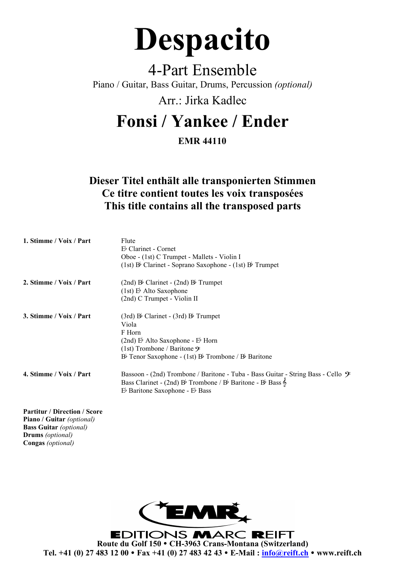# **Despacito**

# 4-Part Ensemble Piano / Guitar, Bass Guitar, Drums, Percussion *(optional)*

## Arr.: Jirka Kadlec

# **Fonsi / Yankee / Ender**

## **Dieser Titel enthält alle transponierten Stimmen Ce titre contient toutes les voix transposées This title contains all the transposed parts**

| 1. Stimme / Voix / Part | Flute<br>$E\$ Clarinet - Cornet<br>Oboe - (1st) C Trumpet - Mallets - Violin I<br>$(1st)$ B <sup>b</sup> Clarinet - Soprano Saxophone - $(1st)$ B <sup>b</sup> Trumpet                                                                                                           |
|-------------------------|----------------------------------------------------------------------------------------------------------------------------------------------------------------------------------------------------------------------------------------------------------------------------------|
| 2. Stimme / Voix / Part | $(2nd)$ B <sup>b</sup> Clarinet - $(2nd)$ B <sup>b</sup> Trumpet<br>$(1st)$ E <sup>b</sup> Alto Saxophone<br>(2nd) C Trumpet - Violin II                                                                                                                                         |
| 3. Stimme / Voix / Part | $(3rd)$ B <sup>b</sup> Clarinet - $(3rd)$ B <sup>b</sup> Trumpet<br>Viola<br>F Horn<br>$(2nd)$ E <sup>b</sup> Alto Saxophone - E <sup>b</sup> Horn<br>(1st) Trombone / Baritone $\mathcal{P}$<br>$B^{\flat}$ Tenor Saxophone - (1st) $B^{\flat}$ Trombone / $B^{\flat}$ Baritone |
| 4. Stimme / Voix / Part | Bassoon - (2nd) Trombone / Baritone - Tuba - Bass Guitar - String Bass - Cello 9<br>Bass Clarinet - (2nd) $B^{\flat}$ Trombone / $B^{\flat}$ Baritone - $B^{\flat}$ Bass $\stackrel{\delta}{\circ}$<br>$E^{\flat}$ Baritone Saxophone - $E^{\flat}$ Bass                         |

**Partitur / Direction / Score Piano / Guitar** *(optional)* **Bass Guitar** *(optional)* **Drums** *(optional)* **Congas** *(optional)*



**EDITIONS MARC REIFT Route du Golf 150 CH-3963 Crans-Montana (Switzerland) Tel. +41 (0) 27 483 12 00 Fax +41 (0) 27 483 42 43 E-Mail : info@reift.ch www.reift.ch**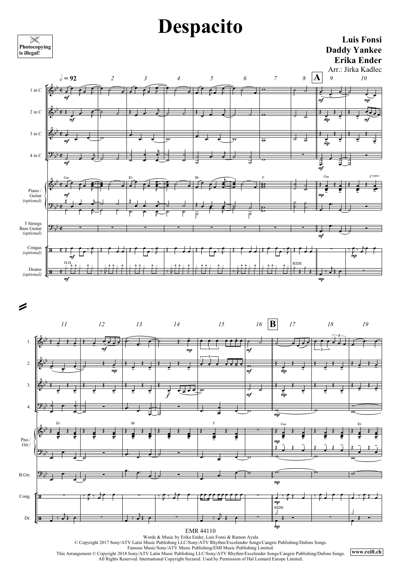

Words & Music by Erika Ender, Luis Fonsi & Ramon Ayala<br>© Copyright 2017 Sony/ATV Latin Music Publishing LLC/Sony/ATV Rhythm/Excelender Songs/Cangris Publishing/Dafons Songs.<br>Famous Music/Sony/ATV Music Publishing/EMI Music

**www.reift.ch**

All Rights Reserved. International Copyright Secured. Used by Permission of Hal Leonard Europe Limited.

This Arrangement © Copyright 2018 Sony/ATV Latin Music Publishing LLC/Sony/ATV Rhythm/Excelender Songs/Cangris Publishing/Dafons Songs.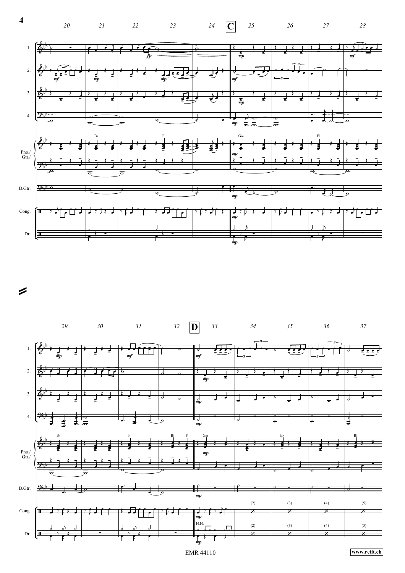



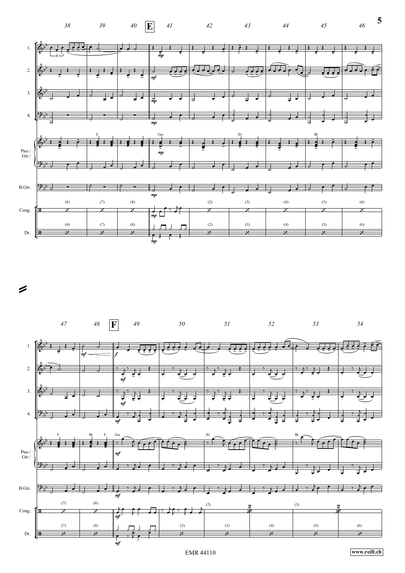





EMR 44110 **www.reift.ch**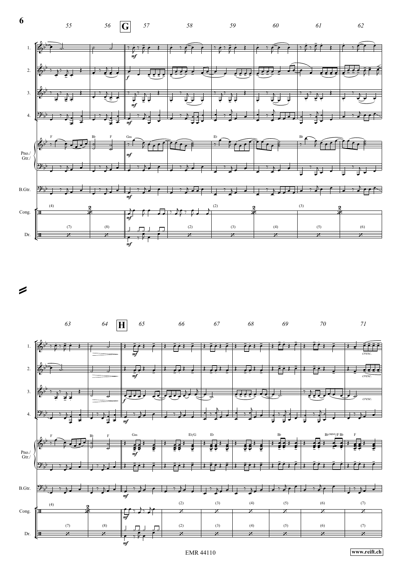





EMR 44110 **www.reift.ch**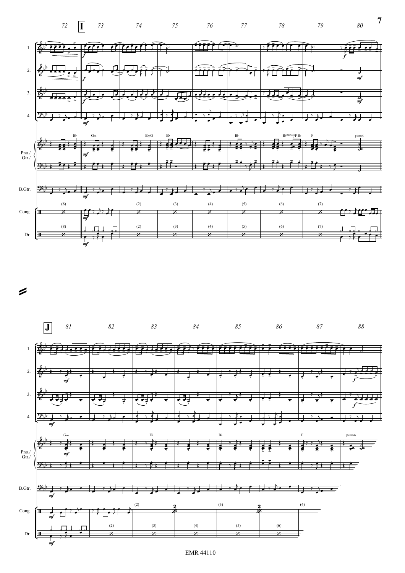